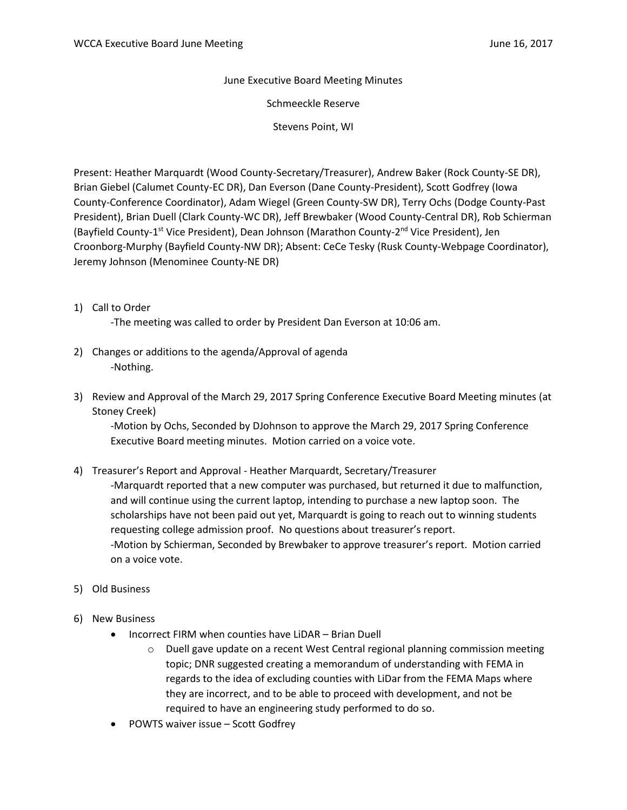June Executive Board Meeting Minutes

Schmeeckle Reserve

Stevens Point, WI

Present: Heather Marquardt (Wood County-Secretary/Treasurer), Andrew Baker (Rock County-SE DR), Brian Giebel (Calumet County-EC DR), Dan Everson (Dane County-President), Scott Godfrey (Iowa County-Conference Coordinator), Adam Wiegel (Green County-SW DR), Terry Ochs (Dodge County-Past President), Brian Duell (Clark County-WC DR), Jeff Brewbaker (Wood County-Central DR), Rob Schierman (Bayfield County-1<sup>st</sup> Vice President), Dean Johnson (Marathon County-2<sup>nd</sup> Vice President), Jen Croonborg-Murphy (Bayfield County-NW DR); Absent: CeCe Tesky (Rusk County-Webpage Coordinator), Jeremy Johnson (Menominee County-NE DR)

1) Call to Order

-The meeting was called to order by President Dan Everson at 10:06 am.

- 2) Changes or additions to the agenda/Approval of agenda -Nothing.
- 3) Review and Approval of the March 29, 2017 Spring Conference Executive Board Meeting minutes (at Stoney Creek)

-Motion by Ochs, Seconded by DJohnson to approve the March 29, 2017 Spring Conference Executive Board meeting minutes. Motion carried on a voice vote.

4) Treasurer's Report and Approval - Heather Marquardt, Secretary/Treasurer

-Marquardt reported that a new computer was purchased, but returned it due to malfunction, and will continue using the current laptop, intending to purchase a new laptop soon. The scholarships have not been paid out yet, Marquardt is going to reach out to winning students requesting college admission proof. No questions about treasurer's report. -Motion by Schierman, Seconded by Brewbaker to approve treasurer's report. Motion carried on a voice vote.

- 5) Old Business
- 6) New Business
	- Incorrect FIRM when counties have LiDAR Brian Duell
		- o Duell gave update on a recent West Central regional planning commission meeting topic; DNR suggested creating a memorandum of understanding with FEMA in regards to the idea of excluding counties with LiDar from the FEMA Maps where they are incorrect, and to be able to proceed with development, and not be required to have an engineering study performed to do so.
	- POWTS waiver issue Scott Godfrey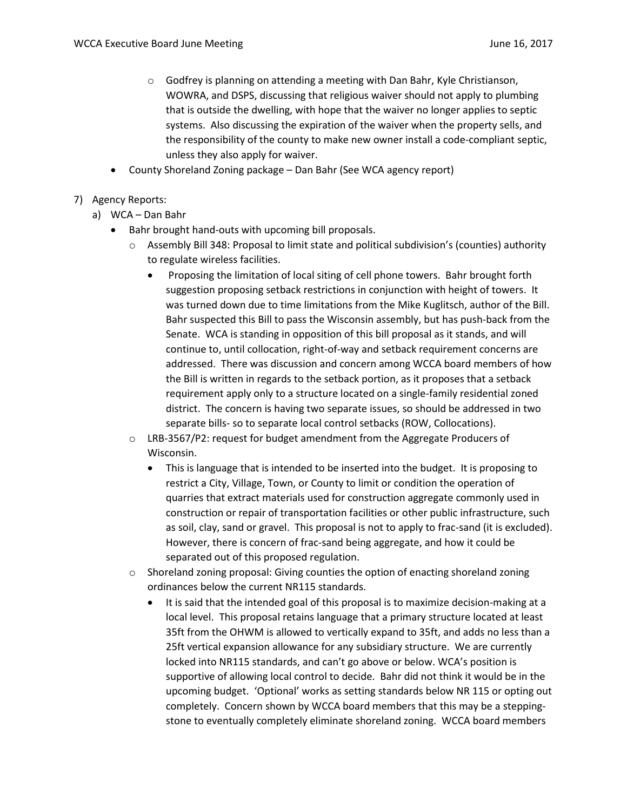- $\circ$  Godfrey is planning on attending a meeting with Dan Bahr, Kyle Christianson, WOWRA, and DSPS, discussing that religious waiver should not apply to plumbing that is outside the dwelling, with hope that the waiver no longer applies to septic systems. Also discussing the expiration of the waiver when the property sells, and the responsibility of the county to make new owner install a code-compliant septic, unless they also apply for waiver.
- County Shoreland Zoning package Dan Bahr (See WCA agency report)
- 7) Agency Reports:
	- a) WCA Dan Bahr
		- Bahr brought hand-outs with upcoming bill proposals.
			- o Assembly Bill 348: Proposal to limit state and political subdivision's (counties) authority to regulate wireless facilities.
				- Proposing the limitation of local siting of cell phone towers. Bahr brought forth suggestion proposing setback restrictions in conjunction with height of towers. It was turned down due to time limitations from the Mike Kuglitsch, author of the Bill. Bahr suspected this Bill to pass the Wisconsin assembly, but has push-back from the Senate. WCA is standing in opposition of this bill proposal as it stands, and will continue to, until collocation, right-of-way and setback requirement concerns are addressed. There was discussion and concern among WCCA board members of how the Bill is written in regards to the setback portion, as it proposes that a setback requirement apply only to a structure located on a single-family residential zoned district. The concern is having two separate issues, so should be addressed in two separate bills- so to separate local control setbacks (ROW, Collocations).
			- o LRB-3567/P2: request for budget amendment from the Aggregate Producers of Wisconsin.
				- This is language that is intended to be inserted into the budget. It is proposing to restrict a City, Village, Town, or County to limit or condition the operation of quarries that extract materials used for construction aggregate commonly used in construction or repair of transportation facilities or other public infrastructure, such as soil, clay, sand or gravel. This proposal is not to apply to frac-sand (it is excluded). However, there is concern of frac-sand being aggregate, and how it could be separated out of this proposed regulation.
			- $\circ$  Shoreland zoning proposal: Giving counties the option of enacting shoreland zoning ordinances below the current NR115 standards.
				- It is said that the intended goal of this proposal is to maximize decision-making at a local level. This proposal retains language that a primary structure located at least 35ft from the OHWM is allowed to vertically expand to 35ft, and adds no less than a 25ft vertical expansion allowance for any subsidiary structure. We are currently locked into NR115 standards, and can't go above or below. WCA's position is supportive of allowing local control to decide. Bahr did not think it would be in the upcoming budget. 'Optional' works as setting standards below NR 115 or opting out completely. Concern shown by WCCA board members that this may be a steppingstone to eventually completely eliminate shoreland zoning. WCCA board members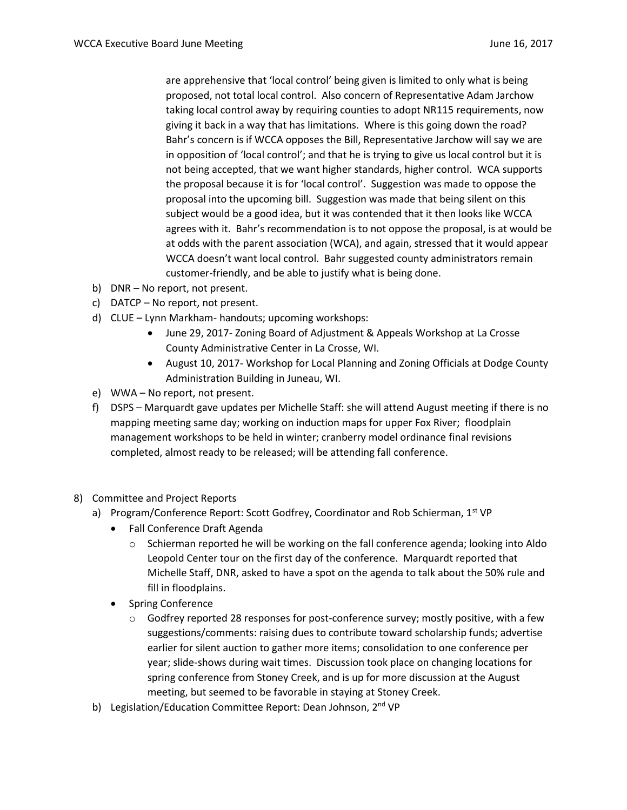are apprehensive that 'local control' being given is limited to only what is being proposed, not total local control. Also concern of Representative Adam Jarchow taking local control away by requiring counties to adopt NR115 requirements, now giving it back in a way that has limitations. Where is this going down the road? Bahr's concern is if WCCA opposes the Bill, Representative Jarchow will say we are in opposition of 'local control'; and that he is trying to give us local control but it is not being accepted, that we want higher standards, higher control. WCA supports the proposal because it is for 'local control'. Suggestion was made to oppose the proposal into the upcoming bill. Suggestion was made that being silent on this subject would be a good idea, but it was contended that it then looks like WCCA agrees with it. Bahr's recommendation is to not oppose the proposal, is at would be at odds with the parent association (WCA), and again, stressed that it would appear WCCA doesn't want local control. Bahr suggested county administrators remain customer-friendly, and be able to justify what is being done.

- b) DNR No report, not present.
- c) DATCP No report, not present.
- d) CLUE Lynn Markham- handouts; upcoming workshops:
	- June 29, 2017- Zoning Board of Adjustment & Appeals Workshop at La Crosse County Administrative Center in La Crosse, WI.
	- August 10, 2017- Workshop for Local Planning and Zoning Officials at Dodge County Administration Building in Juneau, WI.
- e) WWA No report, not present.
- f) DSPS Marquardt gave updates per Michelle Staff: she will attend August meeting if there is no mapping meeting same day; working on induction maps for upper Fox River; floodplain management workshops to be held in winter; cranberry model ordinance final revisions completed, almost ready to be released; will be attending fall conference.
- 8) Committee and Project Reports
	- a) Program/Conference Report: Scott Godfrey, Coordinator and Rob Schierman, 1st VP
		- Fall Conference Draft Agenda
			- o Schierman reported he will be working on the fall conference agenda; looking into Aldo Leopold Center tour on the first day of the conference. Marquardt reported that Michelle Staff, DNR, asked to have a spot on the agenda to talk about the 50% rule and fill in floodplains.
		- Spring Conference
			- $\circ$  Godfrey reported 28 responses for post-conference survey; mostly positive, with a few suggestions/comments: raising dues to contribute toward scholarship funds; advertise earlier for silent auction to gather more items; consolidation to one conference per year; slide-shows during wait times. Discussion took place on changing locations for spring conference from Stoney Creek, and is up for more discussion at the August meeting, but seemed to be favorable in staying at Stoney Creek.
	- b) Legislation/Education Committee Report: Dean Johnson, 2<sup>nd</sup> VP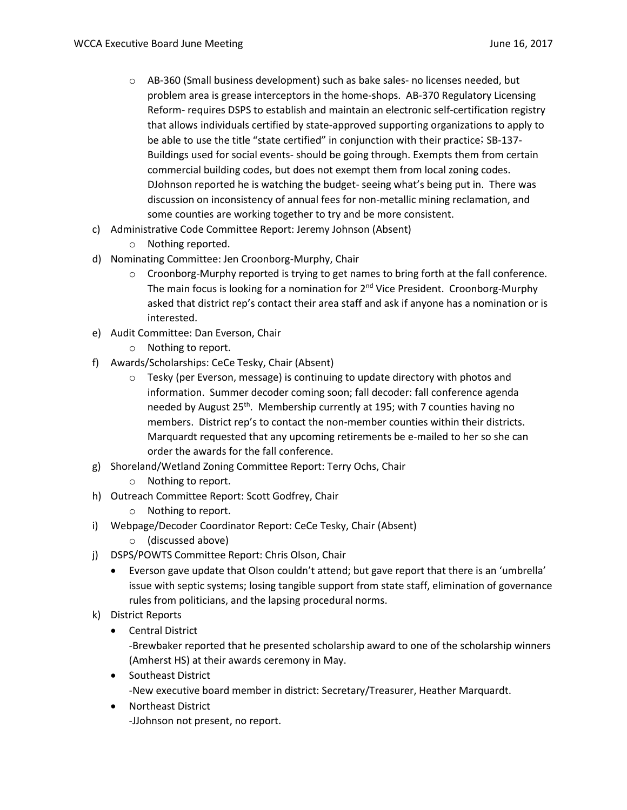- o AB-360 (Small business development) such as bake sales- no licenses needed, but problem area is grease interceptors in the home-shops. AB-370 Regulatory Licensing Reform- requires DSPS to establish and maintain an electronic self-certification registry that allows individuals certified by state-approved supporting organizations to apply to be able to use the title "state certified" in conjunction with their practice; SB-137- Buildings used for social events- should be going through. Exempts them from certain commercial building codes, but does not exempt them from local zoning codes. DJohnson reported he is watching the budget- seeing what's being put in. There was discussion on inconsistency of annual fees for non-metallic mining reclamation, and some counties are working together to try and be more consistent.
- c) Administrative Code Committee Report: Jeremy Johnson (Absent)
	- o Nothing reported.
- d) Nominating Committee: Jen Croonborg-Murphy, Chair
	- $\circ$  Croonborg-Murphy reported is trying to get names to bring forth at the fall conference. The main focus is looking for a nomination for  $2<sup>nd</sup>$  Vice President. Croonborg-Murphy asked that district rep's contact their area staff and ask if anyone has a nomination or is interested.
- e) Audit Committee: Dan Everson, Chair
	- o Nothing to report.
- f) Awards/Scholarships: CeCe Tesky, Chair (Absent)
	- $\circ$  Tesky (per Everson, message) is continuing to update directory with photos and information. Summer decoder coming soon; fall decoder: fall conference agenda needed by August 25<sup>th</sup>. Membership currently at 195; with 7 counties having no members. District rep's to contact the non-member counties within their districts. Marquardt requested that any upcoming retirements be e-mailed to her so she can order the awards for the fall conference.
- g) Shoreland/Wetland Zoning Committee Report: Terry Ochs, Chair
	- o Nothing to report.
- h) Outreach Committee Report: Scott Godfrey, Chair
	- o Nothing to report.
- i) Webpage/Decoder Coordinator Report: CeCe Tesky, Chair (Absent)
	- o (discussed above)
- j) DSPS/POWTS Committee Report: Chris Olson, Chair
	- Everson gave update that Olson couldn't attend; but gave report that there is an 'umbrella' issue with septic systems; losing tangible support from state staff, elimination of governance rules from politicians, and the lapsing procedural norms.
- k) District Reports
	- **•** Central District

-Brewbaker reported that he presented scholarship award to one of the scholarship winners (Amherst HS) at their awards ceremony in May.

• Southeast District

-New executive board member in district: Secretary/Treasurer, Heather Marquardt.

 Northeast District -JJohnson not present, no report.